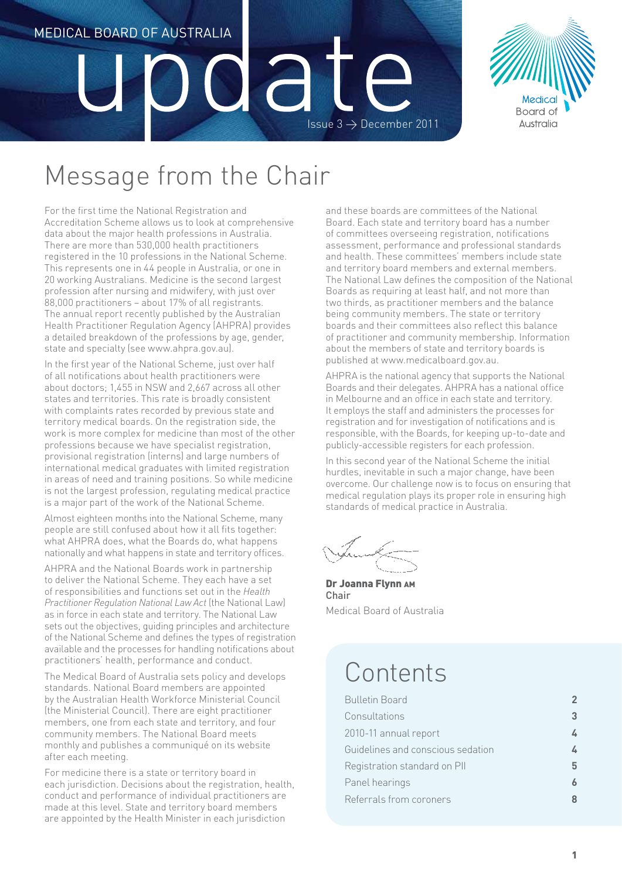## Medical Board of Australia a Issue  $3 \rightarrow$  December 2011



## Message from the Chair

For the first time the National Registration and Accreditation Scheme allows us to look at comprehensive data about the major health professions in Australia. There are more than 530,000 health practitioners registered in the 10 professions in the National Scheme. This represents one in 44 people in Australia, or one in 20 working Australians. Medicine is the second largest profession after nursing and midwifery, with just over 88,000 practitioners – about 17% of all registrants. The annual report recently published by the Australian Health Practitioner Regulation Agency (AHPRA) provides a detailed breakdown of the professions by age, gender, state and specialty (see www.ahpra.gov.au).

In the first year of the National Scheme, just over half of all notifications about health practitioners were about doctors; 1,455 in NSW and 2,667 across all other states and territories. This rate is broadly consistent with complaints rates recorded by previous state and territory medical boards. On the registration side, the work is more complex for medicine than most of the other professions because we have specialist registration, provisional registration (interns) and large numbers of international medical graduates with limited registration in areas of need and training positions. So while medicine is not the largest profession, regulating medical practice is a major part of the work of the National Scheme.

Almost eighteen months into the National Scheme, many people are still confused about how it all fits together: what AHPRA does, what the Boards do, what happens nationally and what happens in state and territory offices.

AHPRA and the National Boards work in partnership to deliver the National Scheme. They each have a set of responsibilities and functions set out in the *Health Practitioner Regulation National Law Act* (the National Law) as in force in each state and territory. The National Law sets out the objectives, guiding principles and architecture of the National Scheme and defines the types of registration available and the processes for handling notifications about practitioners' health, performance and conduct.

The Medical Board of Australia sets policy and develops standards. National Board members are appointed by the Australian Health Workforce Ministerial Council (the Ministerial Council). There are eight practitioner members, one from each state and territory, and four community members. The National Board meets monthly and publishes a communiqué on its website after each meeting.

For medicine there is a state or territory board in each jurisdiction. Decisions about the registration, health, conduct and performance of individual practitioners are made at this level. State and territory board members are appointed by the Health Minister in each jurisdiction

and these boards are committees of the National Board. Each state and territory board has a number of committees overseeing registration, notifications assessment, performance and professional standards and health. These committees' members include state and territory board members and external members. The National Law defines the composition of the National Boards as requiring at least half, and not more than two thirds, as practitioner members and the balance being community members. The state or territory boards and their committees also reflect this balance of practitioner and community membership. Information about the members of state and territory boards is published at www.medicalboard.gov.au.

AHPRA is the national agency that supports the National Boards and their delegates. AHPRA has a national office in Melbourne and an office in each state and territory. It employs the staff and administers the processes for registration and for investigation of notifications and is responsible, with the Boards, for keeping up-to-date and publicly-accessible registers for each profession.

In this second year of the National Scheme the initial hurdles, inevitable in such a major change, have been overcome. Our challenge now is to focus on ensuring that medical regulation plays its proper role in ensuring high standards of medical practice in Australia.

Dr Joanna Flynn AM Chair Medical Board of Australia

## **Contents**

| <b>Bulletin Board</b>             | 2 |
|-----------------------------------|---|
| Consultations                     | 3 |
| 2010-11 annual report             | 4 |
| Guidelines and conscious sedation | 4 |
| Registration standard on PII      | 5 |
| Panel hearings                    |   |
| Referrals from coroners           |   |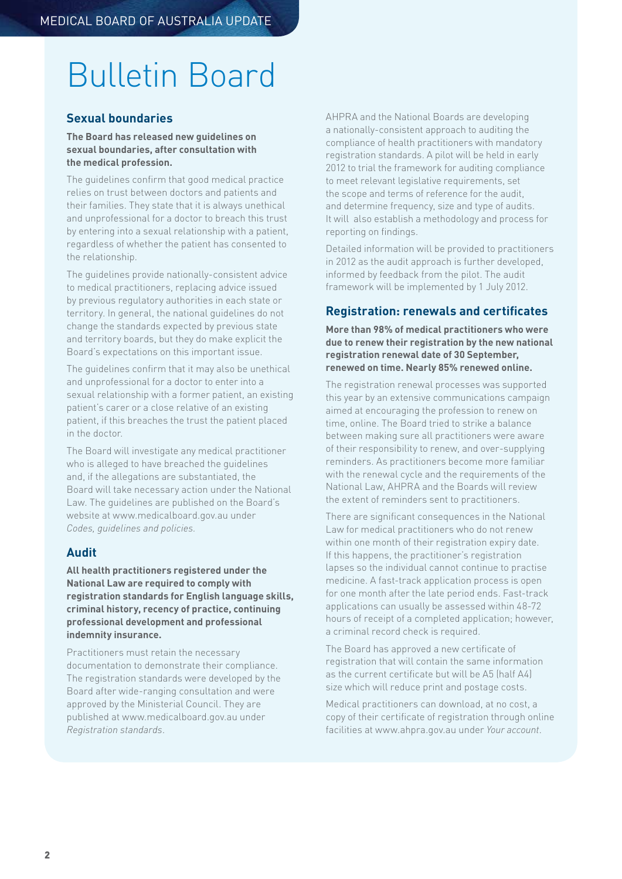# Bulletin Board

## **Sexual boundaries**

#### **The Board has released new guidelines on sexual boundaries, after consultation with the medical profession.**

The guidelines confirm that good medical practice relies on trust between doctors and patients and their families. They state that it is always unethical and unprofessional for a doctor to breach this trust by entering into a sexual relationship with a patient, regardless of whether the patient has consented to the relationship.

The guidelines provide nationally-consistent advice to medical practitioners, replacing advice issued by previous regulatory authorities in each state or territory. In general, the national guidelines do not change the standards expected by previous state and territory boards, but they do make explicit the Board's expectations on this important issue.

The guidelines confirm that it may also be unethical and unprofessional for a doctor to enter into a sexual relationship with a former patient, an existing patient's carer or a close relative of an existing patient, if this breaches the trust the patient placed in the doctor.

The Board will investigate any medical practitioner who is alleged to have breached the guidelines and, if the allegations are substantiated, the Board will take necessary action under the National Law. The guidelines are published on the Board's website at www.medicalboard.gov.au under *Codes, guidelines and policies.*

## **Audit**

**All health practitioners registered under the National Law are required to comply with registration standards for English language skills, criminal history, recency of practice, continuing professional development and professional indemnity insurance.** 

Practitioners must retain the necessary documentation to demonstrate their compliance. The registration standards were developed by the Board after wide-ranging consultation and were approved by the Ministerial Council. They are published at www.medicalboard.gov.au under *Registration standards*.

AHPRA and the National Boards are developing a nationally-consistent approach to auditing the compliance of health practitioners with mandatory registration standards. A pilot will be held in early 2012 to trial the framework for auditing compliance to meet relevant legislative requirements, set the scope and terms of reference for the audit, and determine frequency, size and type of audits. It will also establish a methodology and process for reporting on findings.

Detailed information will be provided to practitioners in 2012 as the audit approach is further developed, informed by feedback from the pilot. The audit framework will be implemented by 1 July 2012.

## **Registration: renewals and certificates**

**More than 98% of medical practitioners who were due to renew their registration by the new national registration renewal date of 30 September, renewed on time. Nearly 85% renewed online.**

The registration renewal processes was supported this year by an extensive communications campaign aimed at encouraging the profession to renew on time, online. The Board tried to strike a balance between making sure all practitioners were aware of their responsibility to renew, and over-supplying reminders. As practitioners become more familiar with the renewal cycle and the requirements of the National Law, AHPRA and the Boards will review the extent of reminders sent to practitioners.

There are significant consequences in the National Law for medical practitioners who do not renew within one month of their registration expiry date. If this happens, the practitioner's registration lapses so the individual cannot continue to practise medicine. A fast-track application process is open for one month after the late period ends. Fast-track applications can usually be assessed within 48-72 hours of receipt of a completed application; however, a criminal record check is required.

The Board has approved a new certificate of registration that will contain the same information as the current certificate but will be A5 (half A4) size which will reduce print and postage costs.

Medical practitioners can download, at no cost, a copy of their certificate of registration through online facilities at www.ahpra.gov.au under *Your account*.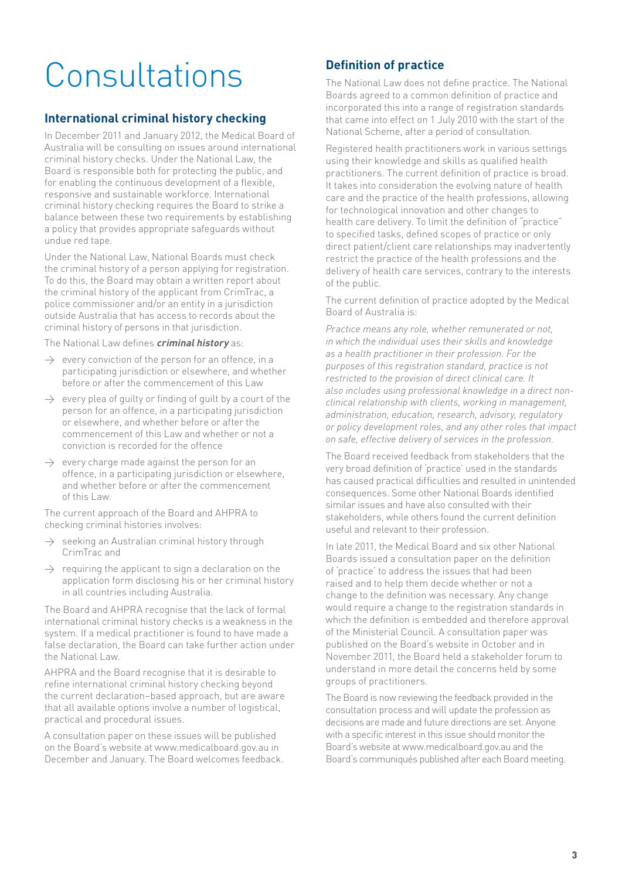# Consultations

## **International criminal history checking**

In December 2011 and January 2012, the Medical Board of Australia will be consulting on issues around international criminal history checks. Under the National Law, the Board is responsible both for protecting the public, and for enabling the continuous development of a flexible, responsive and sustainable workforce. International criminal history checking requires the Board to strike a balance between these two requirements by establishing a policy that provides appropriate safeguards without undue red tape.

Under the National Law, National Boards must check the criminal history of a person applying for registration. To do this, the Board may obtain a written report about the criminal history of the applicant from CrimTrac, a police commissioner and/or an entity in a jurisdiction outside Australia that has access to records about the criminal history of persons in that jurisdiction.

The National Law defines **criminal history** as:

- $\rightarrow$  every conviction of the person for an offence, in a participating jurisdiction or elsewhere, and whether before or after the commencement of this Law
- $\rightarrow$  every plea of quilty or finding of quilt by a court of the person for an offence, in a participating jurisdiction or elsewhere, and whether before or after the commencement of this Law and whether or not a conviction is recorded for the offence
- $\rightarrow$  every charge made against the person for an offence, in a participating jurisdiction or elsewhere, and whether before or after the commencement of this Law.

The current approach of the Board and AHPRA to checking criminal histories involves:

- $\rightarrow$  seeking an Australian criminal history through CrimTrac and
- $\rightarrow$  requiring the applicant to sign a declaration on the application form disclosing his or her criminal history in all countries including Australia.

The Board and AHPRA recognise that the lack of formal international criminal history checks is a weakness in the system. If a medical practitioner is found to have made a false declaration, the Board can take further action under the National Law.

AHPRA and the Board recognise that it is desirable to refine international criminal history checking beyond the current declaration–based approach, but are aware that all available options involve a number of logistical, practical and procedural issues.

A consultation paper on these issues will be published on the Board's website at www.medicalboard.gov.au in December and January. The Board welcomes feedback.

## **Definition of practice**

The National Law does not define practice. The National Boards agreed to a common definition of practice and incorporated this into a range of registration standards that came into effect on 1 July 2010 with the start of the National Scheme, after a period of consultation.

Registered health practitioners work in various settings using their knowledge and skills as qualified health practitioners. The current definition of practice is broad. It takes into consideration the evolving nature of health care and the practice of the health professions, allowing for technological innovation and other changes to health care delivery. To limit the definition of "practice" to specified tasks, defined scopes of practice or only direct patient/client care relationships may inadvertently restrict the practice of the health professions and the delivery of health care services, contrary to the interests of the public.

The current definition of practice adopted by the Medical Board of Australia is:

*Practice means any role, whether remunerated or not, in which the individual uses their skills and knowledge as a health practitioner in their profession. For the purposes of this registration standard, practice is not restricted to the provision of direct clinical care. It also includes using professional knowledge in a direct nonclinical relationship with clients, working in management, administration, education, research, advisory, regulatory or policy development roles, and any other roles that impact on safe, effective delivery of services in the profession.*

The Board received feedback from stakeholders that the very broad definition of 'practice' used in the standards has caused practical difficulties and resulted in unintended consequences. Some other National Boards identified similar issues and have also consulted with their stakeholders, while others found the current definition useful and relevant to their profession.

In late 2011, the Medical Board and six other National Boards issued a consultation paper on the definition of 'practice' to address the issues that had been raised and to help them decide whether or not a change to the definition was necessary. Any change would require a change to the registration standards in which the definition is embedded and therefore approval of the Ministerial Council. A consultation paper was published on the Board's website in October and in November 2011, the Board held a stakeholder forum to understand in more detail the concerns held by some groups of practitioners.

The Board is now reviewing the feedback provided in the consultation process and will update the profession as decisions are made and future directions are set. Anyone with a specific interest in this issue should monitor the Board's website at www.medicalboard.gov.au and the Board's communiqués published after each Board meeting.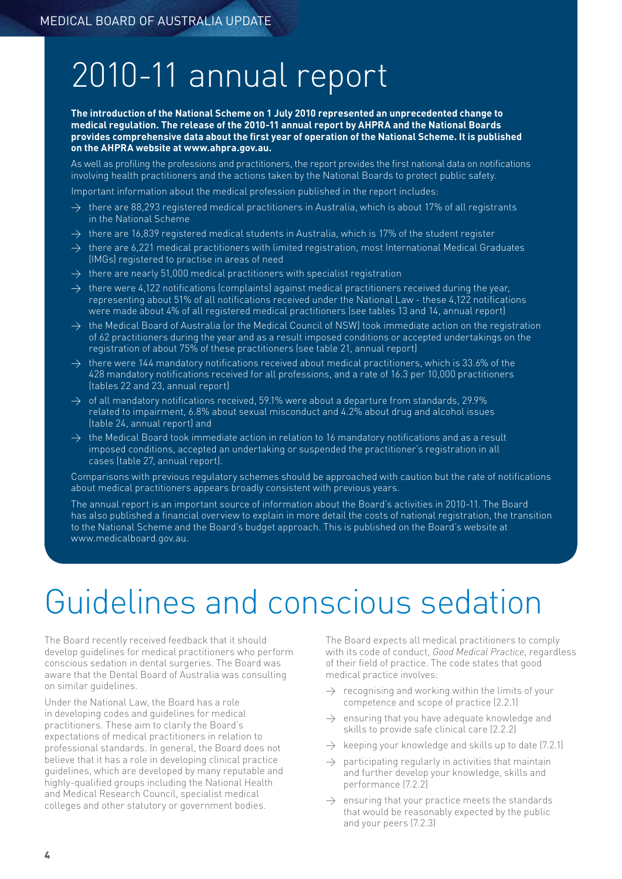## 2010-11 annual report

**The introduction of the National Scheme on 1 July 2010 represented an unprecedented change to medical regulation. The release of the 2010-11 annual report by AHPRA and the National Boards provides comprehensive data about the first year of operation of the National Scheme. It is published on the AHPRA website at www.ahpra.gov.au.**

As well as profiling the professions and practitioners, the report provides the first national data on notifications involving health practitioners and the actions taken by the National Boards to protect public safety.

Important information about the medical profession published in the report includes:

- $\rightarrow$  there are 88,293 registered medical practitioners in Australia, which is about 17% of all registrants in the National Scheme
- $\rightarrow$  there are 16,839 registered medical students in Australia, which is 17% of the student register
- $\rightarrow$  there are 6,221 medical practitioners with limited registration, most International Medical Graduates (IMGs) registered to practise in areas of need
- $\rightarrow$  there are nearly 51,000 medical practitioners with specialist registration
- $\rightarrow$  there were 4,122 notifications (complaints) against medical practitioners received during the year, representing about 51% of all notifications received under the National Law - these 4,122 notifications were made about 4% of all registered medical practitioners (see tables 13 and 14, annual report)
- $\rightarrow$  the Medical Board of Australia (or the Medical Council of NSW) took immediate action on the registration of 62 practitioners during the year and as a result imposed conditions or accepted undertakings on the registration of about 75% of these practitioners (see table 21, annual report)
- $\rightarrow$  there were 144 mandatory notifications received about medical practitioners, which is 33.6% of the 428 mandatory notifications received for all professions, and a rate of 16.3 per 10,000 practitioners (tables 22 and 23, annual report)
- $\rightarrow$  of all mandatory notifications received, 59.1% were about a departure from standards, 29.9% related to impairment, 6.8% about sexual misconduct and 4.2% about drug and alcohol issues (table 24, annual report) and
- $\rightarrow$  the Medical Board took immediate action in relation to 16 mandatory notifications and as a result imposed conditions, accepted an undertaking or suspended the practitioner's registration in all cases (table 27, annual report).

Comparisons with previous regulatory schemes should be approached with caution but the rate of notifications about medical practitioners appears broadly consistent with previous years.

The annual report is an important source of information about the Board's activities in 2010-11. The Board has also published a financial overview to explain in more detail the costs of national registration, the transition to the National Scheme and the Board's budget approach. This is published on the Board's website at www.medicalboard.gov.au.

## Guidelines and conscious sedation

The Board recently received feedback that it should develop guidelines for medical practitioners who perform conscious sedation in dental surgeries. The Board was aware that the Dental Board of Australia was consulting on similar guidelines.

Under the National Law, the Board has a role in developing codes and guidelines for medical practitioners. These aim to clarify the Board's expectations of medical practitioners in relation to professional standards. In general, the Board does not believe that it has a role in developing clinical practice guidelines, which are developed by many reputable and highly-qualified groups including the National Health and Medical Research Council, specialist medical colleges and other statutory or government bodies.

The Board expects all medical practitioners to comply with its code of conduct, *Good Medical Practice*, regardless of their field of practice. The code states that good medical practice involves:

- $\rightarrow$  recognising and working within the limits of your competence and scope of practice (2.2.1)
- $\rightarrow$  ensuring that you have adequate knowledge and skills to provide safe clinical care (2.2.2)
- $\rightarrow$  keeping your knowledge and skills up to date (7.2.1)
- $\rightarrow$  participating regularly in activities that maintain and further develop your knowledge, skills and performance (7.2.2)
- $\rightarrow$  ensuring that your practice meets the standards that would be reasonably expected by the public and your peers (7.2.3)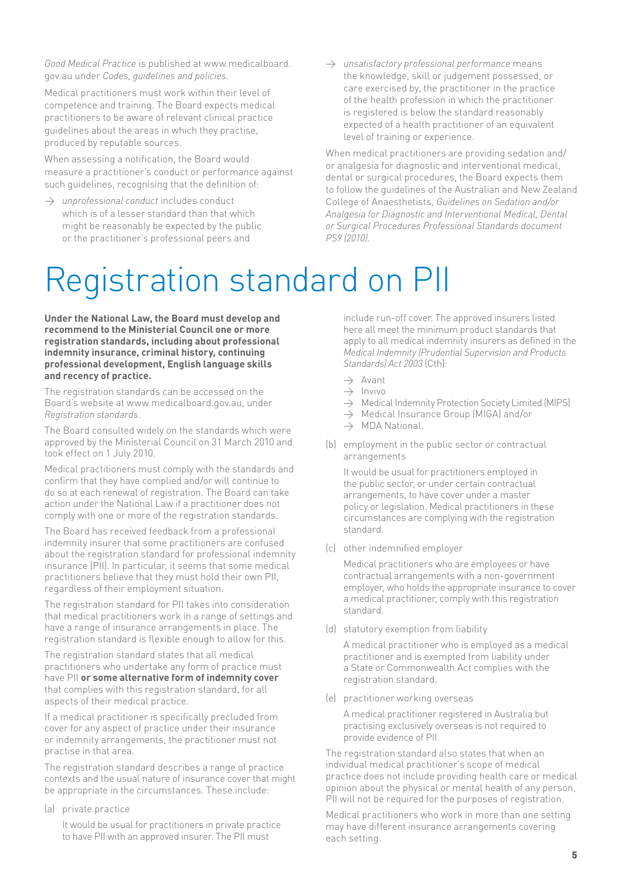*Good Medical Practice* is published at www.medicalboard. gov.au under *Codes, guidelines and policies*.

Medical practitioners must work within their level of competence and training. The Board expects medical practitioners to be aware of relevant clinical practice guidelines about the areas in which they practise, produced by reputable sources.

When assessing a notification, the Board would measure a practitioner's conduct or performance against such guidelines, recognising that the definition of:

- $\rightarrow$  *unprofessional conduct* includes conduct which is of a lesser standard than that which might be reasonably be expected by the public or the practitioner's professional peers and
- > *unsatisfactory professional performance* means the knowledge, skill or judgement possessed, or care exercised by, the practitioner in the practice of the health profession in which the practitioner is registered is below the standard reasonably expected of a health practitioner of an equivalent level of training or experience.

When medical practitioners are providing sedation and/ or analgesia for diagnostic and interventional medical, dental or surgical procedures, the Board expects them to follow the guidelines of the Australian and New Zealand College of Anaesthetists, *Guidelines on Sedation and/or Analgesia for Diagnostic and Interventional Medical, Dental or Surgical Procedures Professional Standards document PS9 (2010)*.

# Registration standard on PII

**Under the National Law, the Board must develop and recommend to the Ministerial Council one or more registration standards, including about professional indemnity insurance, criminal history, continuing professional development, English language skills and recency of practice.** 

The registration standards can be accessed on the Board's website at www.medicalboard.gov.au, under *Registration standards*.

The Board consulted widely on the standards which were approved by the Ministerial Council on 31 March 2010 and took effect on 1 July 2010.

Medical practitioners must comply with the standards and confirm that they have complied and/or will continue to do so at each renewal of registration. The Board can take action under the National Law if a practitioner does not comply with one or more of the registration standards.

The Board has received feedback from a professional indemnity insurer that some practitioners are confused about the registration standard for professional indemnity insurance (PII). In particular, it seems that some medical practitioners believe that they must hold their own PII, regardless of their employment situation.

The registration standard for PII takes into consideration that medical practitioners work in a range of settings and have a range of insurance arrangements in place. The registration standard is flexible enough to allow for this.

The registration standard states that all medical practitioners who undertake any form of practice must have PII **or some alternative form of indemnity cover** that complies with this registration standard, for all aspects of their medical practice.

If a medical practitioner is specifically precluded from cover for any aspect of practice under their insurance or indemnity arrangements, the practitioner must not practise in that area.

The registration standard describes a range of practice contexts and the usual nature of insurance cover that might be appropriate in the circumstances. These include:

(a) private practice

It would be usual for practitioners in private practice to have PII with an approved insurer. The PII must

include run-off cover. The approved insurers listed here all meet the minimum product standards that apply to all medical indemnity insurers as defined in the *Medical Indemnity (Prudential Supervision and Products Standards) Act 2003* (Cth):

- $\rightarrow$  Avant
- $\rightarrow$  Invivo
- $\rightarrow$  Medical Indemnity Protection Society Limited (MIPS)
- $\rightarrow$  Medical Insurance Group (MIGA) and/or
- $\rightarrow$  MDA National
- (b) employment in the public sector or contractual arrangements

It would be usual for practitioners employed in the public sector, or under certain contractual arrangements, to have cover under a master policy or legislation. Medical practitioners in these circumstances are complying with the registration standard.

(c) other indemnified employer

Medical practitioners who are employees or have contractual arrangements with a non-government employer, who holds the appropriate insurance to cover a medical practitioner, comply with this registration standard.

(d) statutory exemption from liability

A medical practitioner who is employed as a medical practitioner and is exempted from liability under a State or Commonwealth Act complies with the registration standard.

(e) practitioner working overseas

A medical practitioner registered in Australia but practising exclusively overseas is not required to provide evidence of PII.

The registration standard also states that when an individual medical practitioner's scope of medical practice does not include providing health care or medical opinion about the physical or mental health of any person, PII will not be required for the purposes of registration.

Medical practitioners who work in more than one setting may have different insurance arrangements covering each setting.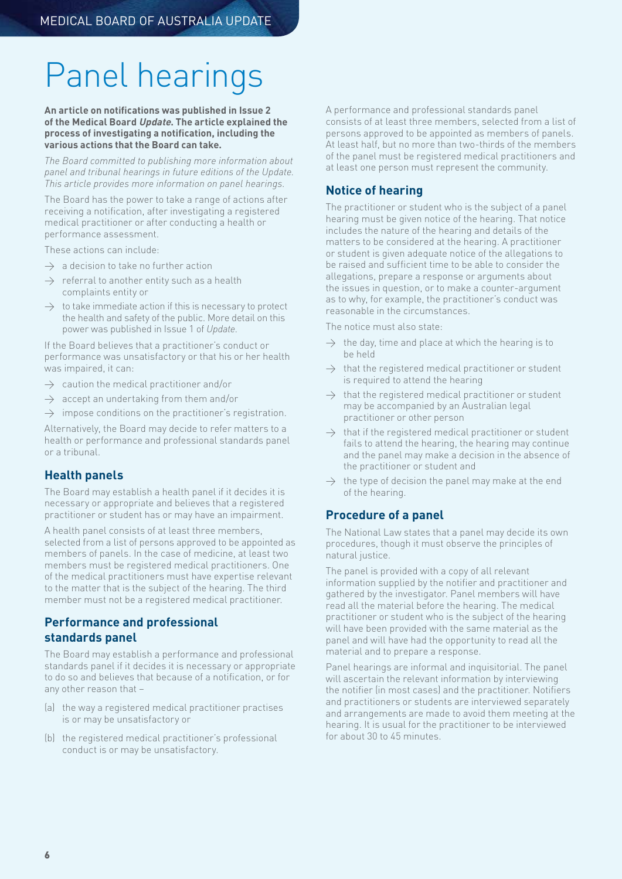# Panel hearings

#### **An article on notifications was published in Issue 2 of the Medical Board Update. The article explained the process of investigating a notification, including the various actions that the Board can take.**

*The Board committed to publishing more information about panel and tribunal hearings in future editions of the Update. This article provides more information on panel hearings.*

The Board has the power to take a range of actions after receiving a notification, after investigating a registered medical practitioner or after conducting a health or performance assessment.

These actions can include:

- $\rightarrow$  a decision to take no further action
- $\rightarrow$  referral to another entity such as a health complaints entity or
- $\rightarrow$  to take immediate action if this is necessary to protect the health and safety of the public. More detail on this power was published in Issue 1 of *Update*.

If the Board believes that a practitioner's conduct or performance was unsatisfactory or that his or her health was impaired, it can:

- $\rightarrow$  caution the medical practitioner and/or
- $\rightarrow$  accept an undertaking from them and/or
- $\rightarrow$  impose conditions on the practitioner's registration.

Alternatively, the Board may decide to refer matters to a health or performance and professional standards panel or a tribunal.

## **Health panels**

The Board may establish a health panel if it decides it is necessary or appropriate and believes that a registered practitioner or student has or may have an impairment.

A health panel consists of at least three members, selected from a list of persons approved to be appointed as members of panels. In the case of medicine, at least two members must be registered medical practitioners. One of the medical practitioners must have expertise relevant to the matter that is the subject of the hearing. The third member must not be a registered medical practitioner.

## **Performance and professional standards panel**

The Board may establish a performance and professional standards panel if it decides it is necessary or appropriate to do so and believes that because of a notification, or for any other reason that –

- (a) the way a registered medical practitioner practises is or may be unsatisfactory or
- (b) the registered medical practitioner's professional conduct is or may be unsatisfactory.

A performance and professional standards panel consists of at least three members, selected from a list of persons approved to be appointed as members of panels. At least half, but no more than two-thirds of the members of the panel must be registered medical practitioners and at least one person must represent the community.

## **Notice of hearing**

The practitioner or student who is the subject of a panel hearing must be given notice of the hearing. That notice includes the nature of the hearing and details of the matters to be considered at the hearing. A practitioner or student is given adequate notice of the allegations to be raised and sufficient time to be able to consider the allegations, prepare a response or arguments about the issues in question, or to make a counter-argument as to why, for example, the practitioner's conduct was reasonable in the circumstances.

The notice must also state:

- $\rightarrow$  the day, time and place at which the hearing is to be held
- $\rightarrow$  that the registered medical practitioner or student is required to attend the hearing
- $\rightarrow$  that the registered medical practitioner or student may be accompanied by an Australian legal practitioner or other person
- that if the registered medical practitioner or student fails to attend the hearing, the hearing may continue and the panel may make a decision in the absence of the practitioner or student and
- $\rightarrow$  the type of decision the panel may make at the end of the hearing.

### **Procedure of a panel**

The National Law states that a panel may decide its own procedures, though it must observe the principles of natural justice.

The panel is provided with a copy of all relevant information supplied by the notifier and practitioner and gathered by the investigator. Panel members will have read all the material before the hearing. The medical practitioner or student who is the subject of the hearing will have been provided with the same material as the panel and will have had the opportunity to read all the material and to prepare a response.

Panel hearings are informal and inquisitorial. The panel will ascertain the relevant information by interviewing the notifier (in most cases) and the practitioner. Notifiers and practitioners or students are interviewed separately and arrangements are made to avoid them meeting at the hearing. It is usual for the practitioner to be interviewed for about 30 to 45 minutes.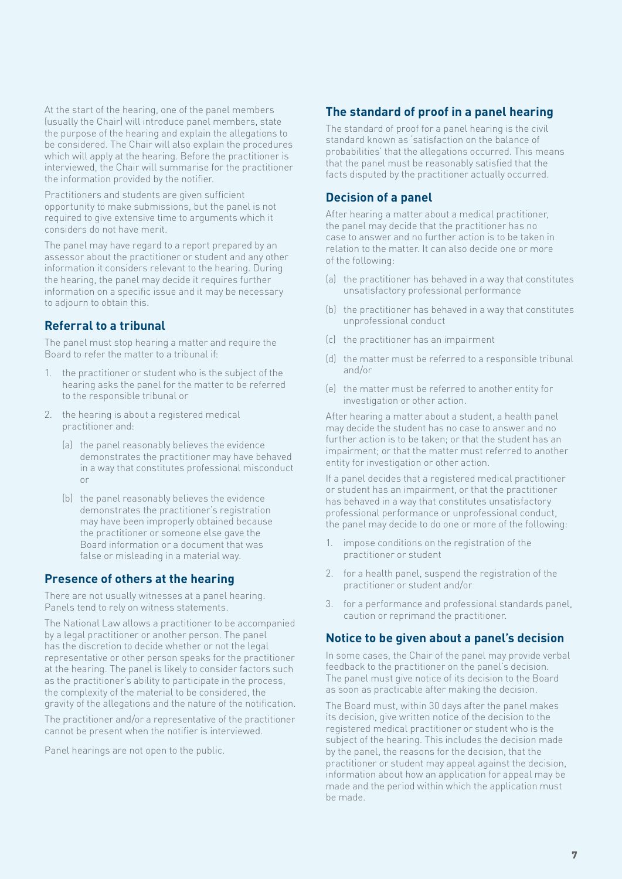At the start of the hearing, one of the panel members (usually the Chair) will introduce panel members, state the purpose of the hearing and explain the allegations to be considered. The Chair will also explain the procedures which will apply at the hearing. Before the practitioner is interviewed, the Chair will summarise for the practitioner the information provided by the notifier.

Practitioners and students are given sufficient opportunity to make submissions, but the panel is not required to give extensive time to arguments which it considers do not have merit.

The panel may have regard to a report prepared by an assessor about the practitioner or student and any other information it considers relevant to the hearing. During the hearing, the panel may decide it requires further information on a specific issue and it may be necessary to adjourn to obtain this.

## **Referral to a tribunal**

The panel must stop hearing a matter and require the Board to refer the matter to a tribunal if:

- 1. the practitioner or student who is the subject of the hearing asks the panel for the matter to be referred to the responsible tribunal or
- 2. the hearing is about a registered medical practitioner and:
	- (a) the panel reasonably believes the evidence demonstrates the practitioner may have behaved in a way that constitutes professional misconduct or
	- (b) the panel reasonably believes the evidence demonstrates the practitioner's registration may have been improperly obtained because the practitioner or someone else gave the Board information or a document that was false or misleading in a material way.

### **Presence of others at the hearing**

There are not usually witnesses at a panel hearing. Panels tend to rely on witness statements.

The National Law allows a practitioner to be accompanied by a legal practitioner or another person. The panel has the discretion to decide whether or not the legal representative or other person speaks for the practitioner at the hearing. The panel is likely to consider factors such as the practitioner's ability to participate in the process, the complexity of the material to be considered, the gravity of the allegations and the nature of the notification.

The practitioner and/or a representative of the practitioner cannot be present when the notifier is interviewed.

Panel hearings are not open to the public.

## **The standard of proof in a panel hearing**

The standard of proof for a panel hearing is the civil standard known as 'satisfaction on the balance of probabilities' that the allegations occurred. This means that the panel must be reasonably satisfied that the facts disputed by the practitioner actually occurred.

### **Decision of a panel**

After hearing a matter about a medical practitioner, the panel may decide that the practitioner has no case to answer and no further action is to be taken in relation to the matter. It can also decide one or more of the following:

- (a) the practitioner has behaved in a way that constitutes unsatisfactory professional performance
- (b) the practitioner has behaved in a way that constitutes unprofessional conduct
- (c) the practitioner has an impairment
- (d) the matter must be referred to a responsible tribunal and/or
- (e) the matter must be referred to another entity for investigation or other action.

After hearing a matter about a student, a health panel may decide the student has no case to answer and no further action is to be taken; or that the student has an impairment; or that the matter must referred to another entity for investigation or other action.

If a panel decides that a registered medical practitioner or student has an impairment, or that the practitioner has behaved in a way that constitutes unsatisfactory professional performance or unprofessional conduct, the panel may decide to do one or more of the following:

- 1. impose conditions on the registration of the practitioner or student
- 2. for a health panel, suspend the registration of the practitioner or student and/or
- 3. for a performance and professional standards panel, caution or reprimand the practitioner.

## **Notice to be given about a panel's decision**

In some cases, the Chair of the panel may provide verbal feedback to the practitioner on the panel's decision. The panel must give notice of its decision to the Board as soon as practicable after making the decision.

The Board must, within 30 days after the panel makes its decision, give written notice of the decision to the registered medical practitioner or student who is the subject of the hearing. This includes the decision made by the panel, the reasons for the decision, that the practitioner or student may appeal against the decision, information about how an application for appeal may be made and the period within which the application must be made.